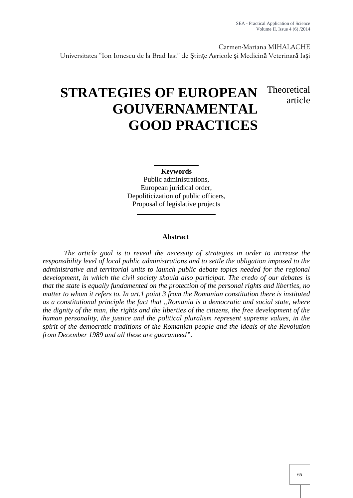Carmen-Mariana MIHALACHE

Universitatea "Ion Ionescu de la Brad Iasi" de tin e Agricole i Medicin Veterinar Ia i

# **STRATEGIES OF EUROPEAN GOUVERNAMENTAL GOOD PRACTICES**

# Theoretical article

# **Keywords**

Public administrations, European juridical order, Depoliticization of public officers, Proposal of legislative projects

## **Abstract**

*The article goal is to reveal the necessity of strategies in order to increase the responsibility level of local public administrations and to settle the obligation imposed to the administrative and territorial units to launch public debate topics needed for the regional development, in which the civil society should also participat. The credo of our debates is that the state is equally fundamented on the protection of the personal rights and liberties, no matter to whom it refers to. In art.1 point 3 from the Romanian constitution there is instituted as a constitutional principle the fact that "Romania is a democratic and social state, where the dignity of the man, the rights and the liberties of the citizens, the free development of the human personality, the justice and the political pluralism represent supreme values, in the spirit of the democratic traditions of the Romanian people and the ideals of the Revolution from December 1989 and all these are guaranteed".*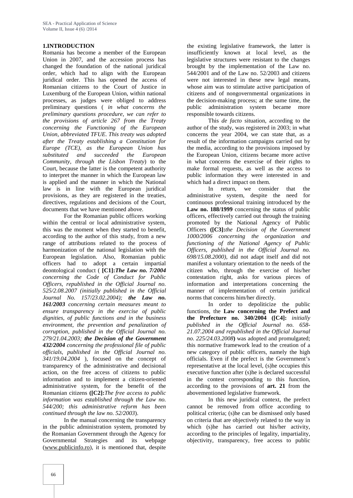#### **1.INTRODUCTION**

Romania has become a member of the European Union in 2007, and the accession process has changed the foundation of the national juridical order, which had to align with the European juridical order. This has opened the access of Romanian citizens to the Court of Justice in Luxemburg of the European Union, within national processes, as judges were obliged to address preliminary questions ( *in what concerns the preliminary questions procedure, we can refer to the provisions of article 267 from the Treaty concerning the Functioning of the European Union, abbreviated TFUE. This treaty was adopted after the Treaty establishing a Constitution for Europe (TCE), as the European Union has substituted and succeeded the European Community, through the Lisbon Treaty*) to the Court, because the latter is the competent authority to interpret the manner in which the European law is applied and the manner in which the National law is in line with the European juridical provisions, as they are registered in the treaties, directives, regulations and decisions of the Court, documents that we have mentioned above.

For the Romanian public officers working within the central or local administrative system, this was the moment when they started to benefit, according to the author of this study, from a new range of attributions related to the process of harmonization of the national legislation with the European legislation. Also, Romanian public officers had to adopt a certain impartial deontological conduct ( **[C1]:***The Law no. 7/2004 concerning the Code of Conduct for Public Officers, republished in the Official Journal no. 525/2.08.2007 (initially published in the Official Journal No. 157/23.02.2004); the Law no. 161/2003 concerning certain measures meant to ensure transparency in the exercise of public dignities, of public functions and in the business environment, the prevention and penalization of corruption, published in the Official Journal no. 279/21.04.2003; the Decision of the Government 432/2004 concerning the professional file of public officials, published in the Official Journal no. 341/19.04.2004* ), focused on the concept of transparency of the administrative and decisional action, on the free access of citizens to public information and to implement a citizen-oriented administrative system, for the benefit of the Romanian citizens **([C2]:***The free access to public information was established through the Law no. 544/200; this administrative reform has been continued through the law no. 52/2003*).

In the manual concerning the transparency in the public administration system, promoted by the Romanian Government through the Agency for Governmental Strategies and its webpage (www.publicinfo.ro), it is mentioned that, despite

the existing legislative framework, the latter is insufficiently known at local level, as the legislative structures were resistant to the changes brought by the implementation of the Law no. 544/2001 and of the Law no. 52/2003 and citizens were not interested in these new legal means, whose aim was to stimulate active participation of citizens and of nongovernmental organizations in the decision-making process; at the same time, the public administration system became more responsible towards citizens.

This *de facto* situation, according to the author of the study, was registered in 2003; in what concerns the year 2004, we can state that, as a result of the information campaigns carried out by the media, according to the provisions imposed by the European Union, citizens became more active in what concerns the exercise of their rights to make formal requests, as well as the access to public information they were interested in and which had a direct impact on them.

In return, we consider that the administrative system, despite the need for continuous professional training introduced by the Law no. 188/1999 concerning the status of public officers, effectively carried out through the training promoted by the National Agency of Public Officers **([C3]:***the Decision of the Government 1000/2006 concerning the organization and functioning of the National Agency of Public Officers, published in the Official Journal no. 698/15.08.2000),* did not adapt itself and did not manifest a voluntary orientation to the needs of the citizen who, through the exercise of his/her contestation right, asks for various pieces of information and interpretations concerning the manner of implementation of certain juridical norms that concerns him/her directly.

In order to depoliticize the public functions, the **Law concerning the Prefect and the Prefecture no. 340/2004 ([C4]:** *initially published in the Official Journal no. 658- 21.07.2004 and republished in the Official Journal no. 225/24.03.2008***)** was adopted and promulgated; this normative framework lead to the creation of a new category of public officers, namely the high officials. Even if the prefect is the Government's representative at the local level, (s)he occupies this executive function after (s)he is declared successful in the contest corresponding to this function, according to the provisions of **art. 21** from the abovementioned legislative framework.

In this new juridical context, the prefect cannot be removed from office according to political criteria; (s)he can be dismissed only based on criteria that are objectively related to the way in which (s)he has carried out his/her activity, according to the principles of legality, impartiality, objectivity, transparency, free access to public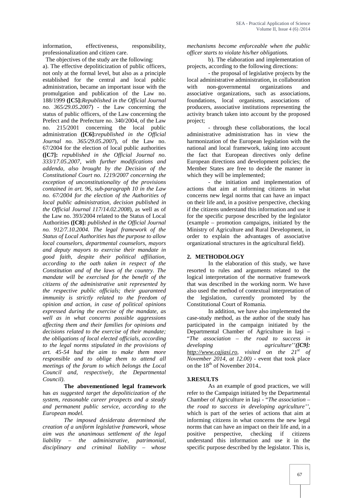information, effectiveness, responsibility, professionalization and citizen care.

The objectives of the study are the following:

a). The effective depoliticization of public officers, not only at the formal level, but also as a principle established for the central and local public administration, became an important issue with the promulgation and publication of the Law no. 188/1999 **([C5]:***Republished in the Official Journal no. 365/29.05.2007*) - the Law concerning the status of public officers, of the Law concerning the Prefect and the Prefecture no. 340/2004, of the Law no. 215/2001 concerning the local public administration **([C6]:***republished in the Official Journal no. 365/29.05.2007*), of the Law no. 67/2004 for the election of local public authorities **([C7]:** *republished in the Official Journal no. 333/17.05.2007, with further modifications and addenda, also brought by the Decision of the Constitutional Court no. 1219/2007 concerning the exception of unconstitutionality of the provisions contained in art. 96, sub-paragraph 10 in the Law no. 67/2004 for the election of the Authorities of local public administration, decision published in the Official Journal 117/14.02.2008*), as well as of the Law no. 393/2004 related to the Status of Local Authorities **([C8]:** *published in the Official Journal no. 912/7.10.2004. The legal framework of the Status of Local Authorities has the purpose to allow local counselors, departmental counselors, mayors and deputy mayors to exercise their mandate in good faith, despite their political affiliation, according to the oath taken in respect of the Constitution and of the laws of the country. The mandate will be exercised for the benefit of the citizens of the administrative unit represented by the respective public officials; their guaranteed immunity is strictly related to the freedom of opinion and action, in case of political opinions expressed during the exercise of the mandate, as well as in what concerns possible aggressions affecting them and their families for opinions and decisions related to the exercise of their mandate; the obligations of local elected officials, according to the legal norms stipulated in the provisions of art. 45-54 had the aim to make them more responsible and to oblige them to attend all meetings of the forum to which belongs the Local Council and, respectively, the Departmental Council)*.

**The abovementioned legal framework** has *as suggested target the depoliticization of the system, reasonable career prospects and a steady and permanent public service, according to the European model.*

*The imposed desiderata determined the creation of a uniform legislative framework, whose aim was the unanimous settlement of the legal liability – the administrative, patrimonial, disciplinary and criminal liability – whose*

*mechanisms become enforceable when the public officer starts to violate his/her obligations.*

b). The elaboration and implementation of projects, according to the following directions:

- the proposal of legislative projects by the local administrative administration, in collaboration with non-governmental organizations and associative organizations, such as associations, foundations, local organisms, associations of producers, associative institutions representing the activity branch taken into account by the proposed project;

- through these collaborations, the local administrative administration has in view the harmonization of the European legislation with the national and local framework, taking into account the fact that European directives only define European directions and development policies; the Member States are free to decide the manner in which they will be implemented;

- the initiation and implementation of actions that aim at informing citizens in what concerns new legal norms that can have an impact on their life and, in a positive perspective, checking if the citizens understand this information and use it for the specific purpose described by the legislator (example – promotion campaigns, initiated by the Ministry of Agriculture and Rural Development, in order to explain the advantages of associative organizational structures in the agricultural field).

#### **2. METHODOLOGY**

In the elaboration of this study, we have resorted to rules and arguments related to the logical interpretation of the normative framework that was described in the working norm. We have also used the method of contextual interpretation of the legislation, currently promoted by the Constitutional Court of Romania.

In addition, we have also implemented the case-study method, as the author of the study has participated in the campaign initiated by the Departmental Chamber of Agriculture in Ia  $i$  – "*The association – the road to success in developing agriculture''([C9]: http://www.cajiasi.ro, visited on the 21st of November 2014, at 12.00)* - event that took place on the 18<sup>th</sup> of November 2014..

## **3.RESULTS**

As an example of good practices, we will refer to the Campaign initiated by the Departmental Chamber of Agriculture in Ia *i* - "*The association* – *the road to success in developing agriculture''*, which is part of the series of actions that aim at informing citizens in what concerns the new legal norms that can have an impact on their life and, in a positive perspective, checking if citizens understand this information and use it in the specific purpose described by the legislator. This is,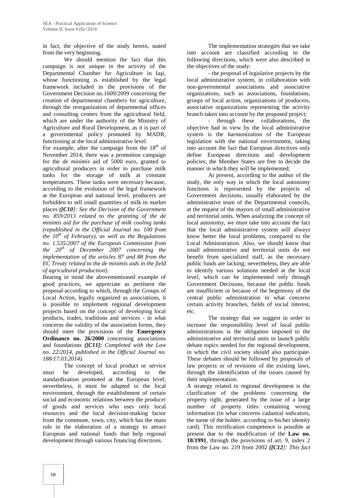in fact, the objective of the study herein, stated from the very beginning.

We should mention the fact that this campaign is not unique in the activity of the Departmental Chamber for Agriculture in Ia i, whose functioning is established by the legal framework included in the provisions of the Government Decision no.1609/2009 concerning the creation of departmental chambers for agriculture, through the reorganization of departmental offices and consulting centers from the agricultural field, which are under the authority of the Ministry of Agriculture and Rural Development, as it is part of a governmental policy promoted by MADR, functioning at the local administrative level.

For example, after the campaign from the  $18<sup>th</sup>$  of November 2014, there was a promotion campaign for the *de minimis* aid of 5000 euro, granted to agricultural producers in order to purchase milk tanks for the storage of milk at constant temperatures. These tanks were necessary because, according to the evolution of the legal framework at the European and national level, producers are forbidden to sell small quantities of milk in market places *([C10]: See the Decision of the Government no. 859/2013 related to the granting of the de minimis aid for the purchase of milk cooling tanks (republished in the Official Journal no. 100 from the 10th of February), as well as the Regulations no. 1.535/2007 of the European Commission from the 20th of December 2007 concerning the implementation of the articles 87 and 88 from the EC Treaty related to the de minimis aids in the field of agricultural production*).

Bearing in mind the abovementioned example of good practices, we appreciate as pertinent the proposal according to which, through the Groups of Local Action, legally organized as associations, it is possible to implement regional development projects based on the concept of developing local products, trades, traditions and services - in what concerns the validity of the association forms, they should meet the provisions of the **Emergency Ordinance no. 26/2000** concerning associations and foundations *([C11]: Completed with the Law no. 22/2014, published in the Official Journal no. 188/17.03.2014).*

The concept of local product or service must be developed, according to the standardization promoted at the European level; nevertheless, it must be adapted to the local environment, through the establishment of certain social and economic relations between the producer of goods and services who uses only local resources and the local decision-making factor from the commune, town, city, which has the main role in the elaboration of a strategy to attract European and national funds that help regional development through various financing directions.

The implementation strategies that we take into account are classified according to the following directions, which were also described in the objectives of the study:

- the proposal of legislative projects by the local administrative system, in collaboration with non-governmental associations and associative organizations, such as associations, foundations, groups of local action, organizations of producers, associative organizations representing the activity branch taken into account by the proposed project;

- through these collaborations, the objective had in view by the local administrative system is the harmonization of the European legislation with the national environment, taking into account the fact that European directives only define European directions and development policies; the Member States are free to decide the manner in which they will be implemented;

At present, according to the author of the study, the only way in which the local autonomy functions is represented by the projects of Government decisions, usually elaborated by the administrative team of the Departmental councils, at the request of the mayors of small administrative and territorial units. When analyzing the concept of local autonomy, we must take into account the fact that the local administrative system will always know better the local problems, compared to the Local Administration. Also, we should know that small administrative and territorial units do not benefit from specialized staff, as the necessary public funds are lacking; nevertheless, they are able to identify various solutions needed at the local level, which can be implemented only through Government Decisions, because the public funds are insufficient or because of the hegemony of the central public administration in what concerns certain activity branches, fields of social interest, etc.

The strategy that we suggest in order to increase the responsibility level of local public administrations is the obligation imposed to the administrative and territorial units to launch public debate topics needed for the regional development, in which the civil society should also participate. These debates should be followed by proposals of law projects or of revisions of the existing laws, through the identification of the issues caused by their implementation.

A strategy related to regional development is the clarification of the problems concerning the property right, generated by the issue of a large number of property titles containing wrong information (in what concerns cadastral indicators, the name of the holder, according to his/her identity card). This rectification competence is possible at present due to the modification of the **Law no. 18/1991**, through the provisions of art. 9, index 2 from the Law no. 219 from 2002 *([C12]: This fact*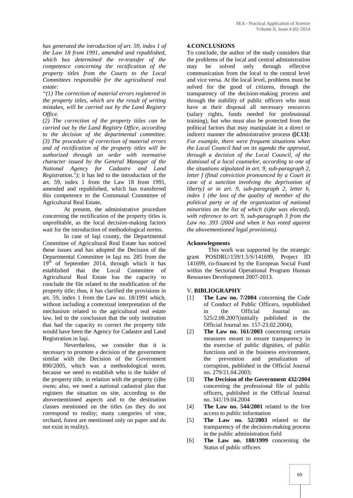*has generated the introduction of art. 59, index 1 of the Law 18 from 1991, amended and republished, which has determined the re-transfer of the competence concerning the rectification of the property titles from the Courts to the Local Committees responsible for the agricultural real estate:*

*"(1) The correction of material errors registered in the property titles, which are the result of writing mistakes, will be carried out by the Land Registry Office.*

*(2) The correction of the property titles can be carried out by the Land Registry Office, according to the decision of the departmental committee. (3) The procedure of correction of material errors and of rectification of the property titles will be authorized through an order with normative character issued by the General Manager of the National Agency for Cadastre and Land Registration.");* it has led to the introduction of the art. 59, index 1 from the Law 18 from 1991, amended and republished, which has transferred this competence to the Communal Committee of Agricultural Real Estate**.**

At present, the administrative procedure concerning the rectification of the property titles is unprofitable, as the local decision-making factors wait for the introduction of methodological norms.

In case of Ia i county, the Departmental Committee of Agricultural Real Estate has noticed these issues and has adopted the Decision of the Departmental Committee in Ia i no. 285 from the 19<sup>th</sup> of September 2014, through which it has established that the Local Committee of Agricultural Real Estate has the capacity to conclude the file related to the modification of the property title; thus, it has clarified the provisions in art. 59, index 1 from the Law no. 18/1991 which, without including a contextual interpretation of the mechanism related to the agricultural real estate law, led to the conclusion that the only institution that had the capacity to correct the property title would have been the Agency for Cadastre and Land Registration in Ia i.

Nevertheless, we consider that it is necessary to promote a decision of the government similar with the Decision of the Government 890/2005, which was a methodological norm, because we need to establish who is the holder of the property title, in relation with the property (s)he owns; also, we need a national cadastral plan that registers the situation on site, according to the abovementioned aspects and to the destination classes mentioned on the titles (as they do not correspond to reality; many categories of vine, orchard, forest are mentioned only on paper and do not exist in reality).

#### **4.CONCLUSIONS**

To conclude, the author of the study considers that the problems of the local and central administration may be solved only through effective communication from the local to the central level and vice versa. At the local level, problems must be solved for the good of citizens, through the transparency of the decision-making process and through the stability of public officers who must have at their disposal all necessary resources (salary rights, funds needed for professional training), but who must also be protected from the political factors that may manipulate in a direct or indirect manner the administrative process **([C13]**: *For example, there were frequent situations when the Local Council had on its agenda the approval, through a decision of the Local Council, of the dismissal of a local counselor, according to one of the situations stipulated in art. 9, sub-paragraph 2, letter f (final conviction pronounced by a Court in case of a sanction involving the deprivation of liberty) or in art. 9, sub-paragraph 2, letter h, index 1 (the loss of the quality of member of the political party or of the organization of national minorities on the list of which (s)he was elected), with reference to art. 9, sub-paragraph 3 from the Law no. 393 /2004 and when it has voted against the abovementioned legal provisions).*

#### **Acknowlegments**

This work was supported by the strategic grant POSDRU/159/1.5/S/141699, Project ID 141699, co-financed by the European Social Fund within the Sectorial Operational Program Human Resourses Development 2007-2013.

#### V**. BIBLIOGRAPHY**

- [1] **The Law no. 7/2004** concerning the Code of Conduct of Public Officers, republished in the Official Journal no. 525/2.08.2007(initially published in the Official Journal no. 157-23.02.2004);
- The Law no. 161/2003 concerning certain measures meant to ensure transparency in the exercise of public dignities, of public functions and in the business environment, the prevention and penalization of corruption, published in the Official Journal no. 279/21.04.2003;
- [3] **The Decision of the Government 432/2004** concerning the professional file of public officers, published in the Official Journal no. 341/19.04.2004
- [4] **The Law no. 544/2001** related to the free access to public information
- The Law no. 52/2003 related to the transparency of the decision-making process in the public administration field
- [6] **The Law no. 188/1999** concerning the Status of public officers